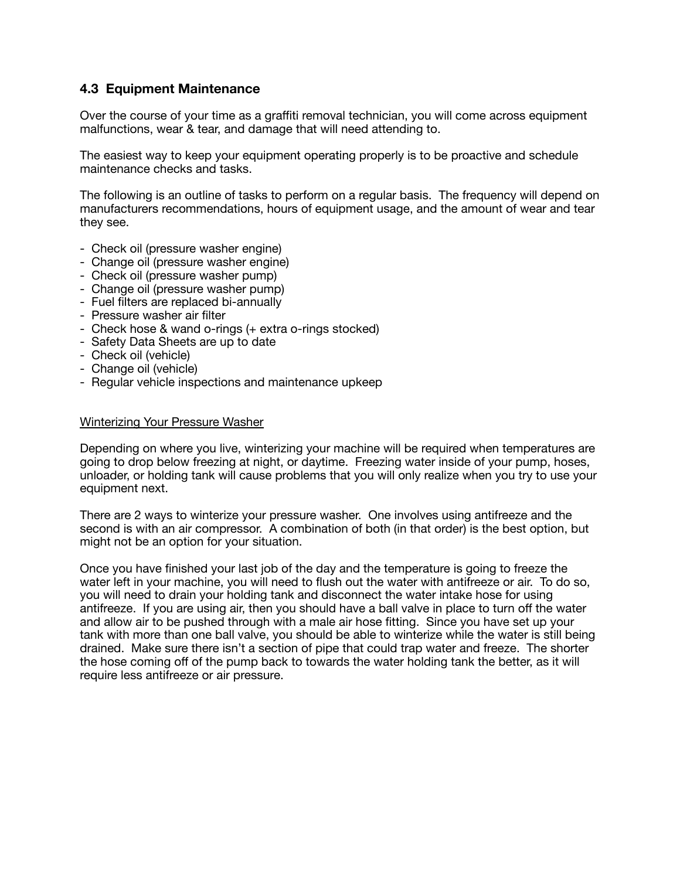## **4.3 Equipment Maintenance**

Over the course of your time as a graffiti removal technician, you will come across equipment malfunctions, wear & tear, and damage that will need attending to.

The easiest way to keep your equipment operating properly is to be proactive and schedule maintenance checks and tasks.

The following is an outline of tasks to perform on a regular basis. The frequency will depend on manufacturers recommendations, hours of equipment usage, and the amount of wear and tear they see.

- Check oil (pressure washer engine)
- Change oil (pressure washer engine)
- Check oil (pressure washer pump)
- Change oil (pressure washer pump)
- Fuel filters are replaced bi-annually
- Pressure washer air filter
- Check hose & wand o-rings (+ extra o-rings stocked)
- Safety Data Sheets are up to date
- Check oil (vehicle)
- Change oil (vehicle)
- Regular vehicle inspections and maintenance upkeep

## Winterizing Your Pressure Washer

Depending on where you live, winterizing your machine will be required when temperatures are going to drop below freezing at night, or daytime. Freezing water inside of your pump, hoses, unloader, or holding tank will cause problems that you will only realize when you try to use your equipment next.

There are 2 ways to winterize your pressure washer. One involves using antifreeze and the second is with an air compressor. A combination of both (in that order) is the best option, but might not be an option for your situation.

Once you have finished your last job of the day and the temperature is going to freeze the water left in your machine, you will need to flush out the water with antifreeze or air. To do so, you will need to drain your holding tank and disconnect the water intake hose for using antifreeze. If you are using air, then you should have a ball valve in place to turn off the water and allow air to be pushed through with a male air hose fitting. Since you have set up your tank with more than one ball valve, you should be able to winterize while the water is still being drained. Make sure there isn't a section of pipe that could trap water and freeze. The shorter the hose coming off of the pump back to towards the water holding tank the better, as it will require less antifreeze or air pressure.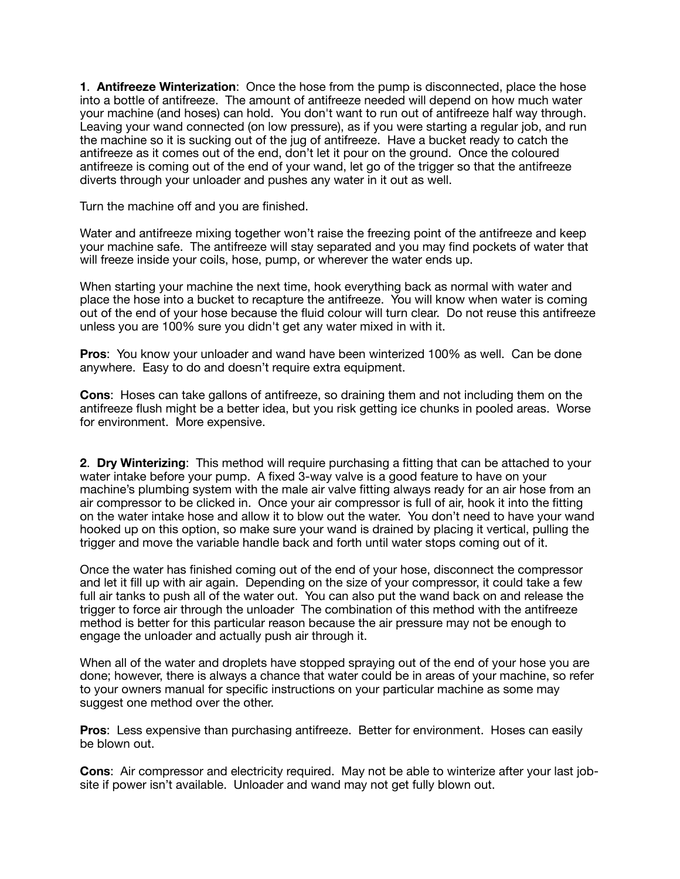**1**. **Antifreeze Winterization**: Once the hose from the pump is disconnected, place the hose into a bottle of antifreeze. The amount of antifreeze needed will depend on how much water your machine (and hoses) can hold. You don't want to run out of antifreeze half way through. Leaving your wand connected (on low pressure), as if you were starting a regular job, and run the machine so it is sucking out of the jug of antifreeze. Have a bucket ready to catch the antifreeze as it comes out of the end, don't let it pour on the ground. Once the coloured antifreeze is coming out of the end of your wand, let go of the trigger so that the antifreeze diverts through your unloader and pushes any water in it out as well.

Turn the machine off and you are finished.

Water and antifreeze mixing together won't raise the freezing point of the antifreeze and keep your machine safe. The antifreeze will stay separated and you may find pockets of water that will freeze inside your coils, hose, pump, or wherever the water ends up.

When starting your machine the next time, hook everything back as normal with water and place the hose into a bucket to recapture the antifreeze. You will know when water is coming out of the end of your hose because the fluid colour will turn clear. Do not reuse this antifreeze unless you are 100% sure you didn't get any water mixed in with it.

**Pros**: You know your unloader and wand have been winterized 100% as well. Can be done anywhere. Easy to do and doesn't require extra equipment.

**Cons**: Hoses can take gallons of antifreeze, so draining them and not including them on the antifreeze flush might be a better idea, but you risk getting ice chunks in pooled areas. Worse for environment. More expensive.

**2**. **Dry Winterizing**: This method will require purchasing a fitting that can be attached to your water intake before your pump. A fixed 3-way valve is a good feature to have on your machine's plumbing system with the male air valve fitting always ready for an air hose from an air compressor to be clicked in. Once your air compressor is full of air, hook it into the fitting on the water intake hose and allow it to blow out the water. You don't need to have your wand hooked up on this option, so make sure your wand is drained by placing it vertical, pulling the trigger and move the variable handle back and forth until water stops coming out of it.

Once the water has finished coming out of the end of your hose, disconnect the compressor and let it fill up with air again. Depending on the size of your compressor, it could take a few full air tanks to push all of the water out. You can also put the wand back on and release the trigger to force air through the unloader The combination of this method with the antifreeze method is better for this particular reason because the air pressure may not be enough to engage the unloader and actually push air through it.

When all of the water and droplets have stopped spraying out of the end of your hose you are done; however, there is always a chance that water could be in areas of your machine, so refer to your owners manual for specific instructions on your particular machine as some may suggest one method over the other.

**Pros**: Less expensive than purchasing antifreeze. Better for environment. Hoses can easily be blown out.

**Cons**: Air compressor and electricity required. May not be able to winterize after your last jobsite if power isn't available. Unloader and wand may not get fully blown out.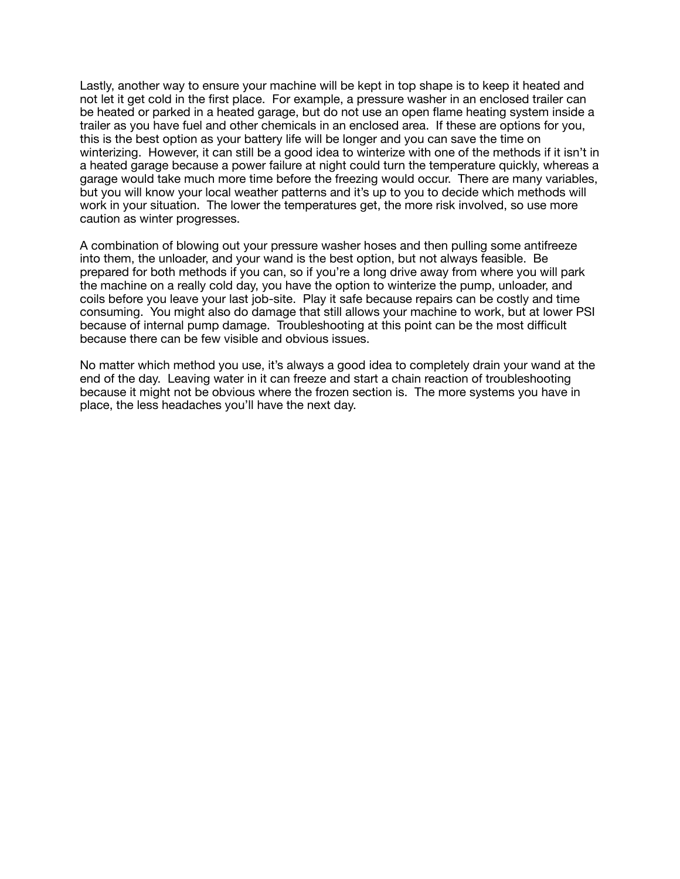Lastly, another way to ensure your machine will be kept in top shape is to keep it heated and not let it get cold in the first place. For example, a pressure washer in an enclosed trailer can be heated or parked in a heated garage, but do not use an open flame heating system inside a trailer as you have fuel and other chemicals in an enclosed area. If these are options for you, this is the best option as your battery life will be longer and you can save the time on winterizing. However, it can still be a good idea to winterize with one of the methods if it isn't in a heated garage because a power failure at night could turn the temperature quickly, whereas a garage would take much more time before the freezing would occur. There are many variables, but you will know your local weather patterns and it's up to you to decide which methods will work in your situation. The lower the temperatures get, the more risk involved, so use more caution as winter progresses.

A combination of blowing out your pressure washer hoses and then pulling some antifreeze into them, the unloader, and your wand is the best option, but not always feasible. Be prepared for both methods if you can, so if you're a long drive away from where you will park the machine on a really cold day, you have the option to winterize the pump, unloader, and coils before you leave your last job-site. Play it safe because repairs can be costly and time consuming. You might also do damage that still allows your machine to work, but at lower PSI because of internal pump damage. Troubleshooting at this point can be the most difficult because there can be few visible and obvious issues.

No matter which method you use, it's always a good idea to completely drain your wand at the end of the day. Leaving water in it can freeze and start a chain reaction of troubleshooting because it might not be obvious where the frozen section is. The more systems you have in place, the less headaches you'll have the next day.